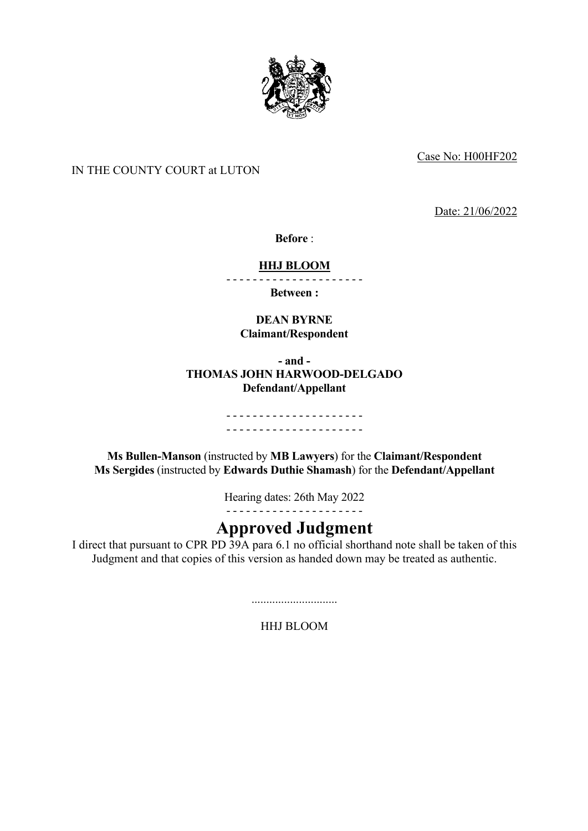

Case No: H00HF202

# IN THE COUNTY COURT at LUTON

Date: 21/06/2022

**Before** :

## **HHJ BLOOM**

- - - - - - - - - - - - - - - - - - - - -

**Between :**

## **DEAN BYRNE Claimant/Respondent**

## **- and - THOMAS JOHN HARWOOD-DELGADO Defendant/Appellant**

### - - - - - - - - - - - - - - - - - - - - - - - - - - - - - - - - - - - - - - - - - -

**Ms Bullen-Manson** (instructed by **MB Lawyers**) for the **Claimant/Respondent Ms Sergides** (instructed by **Edwards Duthie Shamash**) for the **Defendant/Appellant** 

Hearing dates: 26th May 2022

- - - - - - - - - - - - - - - - - - - - -

# **Approved Judgment**

I direct that pursuant to CPR PD 39A para 6.1 no official shorthand note shall be taken of this Judgment and that copies of this version as handed down may be treated as authentic.

.............................

HHJ BLOOM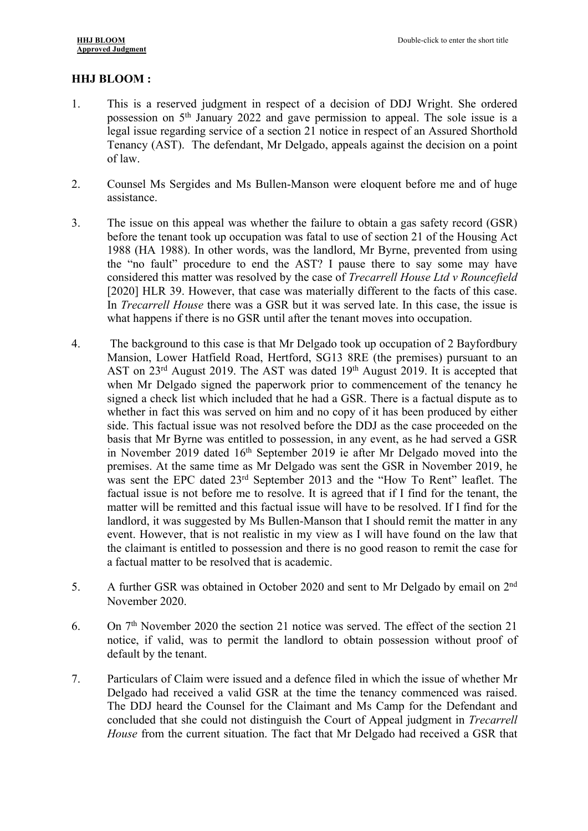# **HHJ BLOOM :**

- 1. This is a reserved judgment in respect of a decision of DDJ Wright. She ordered possession on 5th January 2022 and gave permission to appeal. The sole issue is a legal issue regarding service of a section 21 notice in respect of an Assured Shorthold Tenancy (AST). The defendant, Mr Delgado, appeals against the decision on a point of law.
- 2. Counsel Ms Sergides and Ms Bullen-Manson were eloquent before me and of huge assistance.
- 3. The issue on this appeal was whether the failure to obtain a gas safety record (GSR) before the tenant took up occupation was fatal to use of section 21 of the Housing Act 1988 (HA 1988). In other words, was the landlord, Mr Byrne, prevented from using the "no fault" procedure to end the AST? I pause there to say some may have considered this matter was resolved by the case of *Trecarrell House Ltd v Rouncefield* [2020] HLR 39. However, that case was materially different to the facts of this case. In *Trecarrell House* there was a GSR but it was served late. In this case, the issue is what happens if there is no GSR until after the tenant moves into occupation.
- 4. The background to this case is that Mr Delgado took up occupation of 2 Bayfordbury Mansion, Lower Hatfield Road, Hertford, SG13 8RE (the premises) pursuant to an AST on  $23^{\text{rd}}$  August 2019. The AST was dated  $19^{\text{th}}$  August 2019. It is accepted that when Mr Delgado signed the paperwork prior to commencement of the tenancy he signed a check list which included that he had a GSR. There is a factual dispute as to whether in fact this was served on him and no copy of it has been produced by either side. This factual issue was not resolved before the DDJ as the case proceeded on the basis that Mr Byrne was entitled to possession, in any event, as he had served a GSR in November 2019 dated 16th September 2019 ie after Mr Delgado moved into the premises. At the same time as Mr Delgado was sent the GSR in November 2019, he was sent the EPC dated 23rd September 2013 and the "How To Rent" leaflet. The factual issue is not before me to resolve. It is agreed that if I find for the tenant, the matter will be remitted and this factual issue will have to be resolved. If I find for the landlord, it was suggested by Ms Bullen-Manson that I should remit the matter in any event. However, that is not realistic in my view as I will have found on the law that the claimant is entitled to possession and there is no good reason to remit the case for a factual matter to be resolved that is academic.
- 5. A further GSR was obtained in October 2020 and sent to Mr Delgado by email on 2nd November 2020.
- 6. On 7th November 2020 the section 21 notice was served. The effect of the section 21 notice, if valid, was to permit the landlord to obtain possession without proof of default by the tenant.
- 7. Particulars of Claim were issued and a defence filed in which the issue of whether Mr Delgado had received a valid GSR at the time the tenancy commenced was raised. The DDJ heard the Counsel for the Claimant and Ms Camp for the Defendant and concluded that she could not distinguish the Court of Appeal judgment in *Trecarrell House* from the current situation. The fact that Mr Delgado had received a GSR that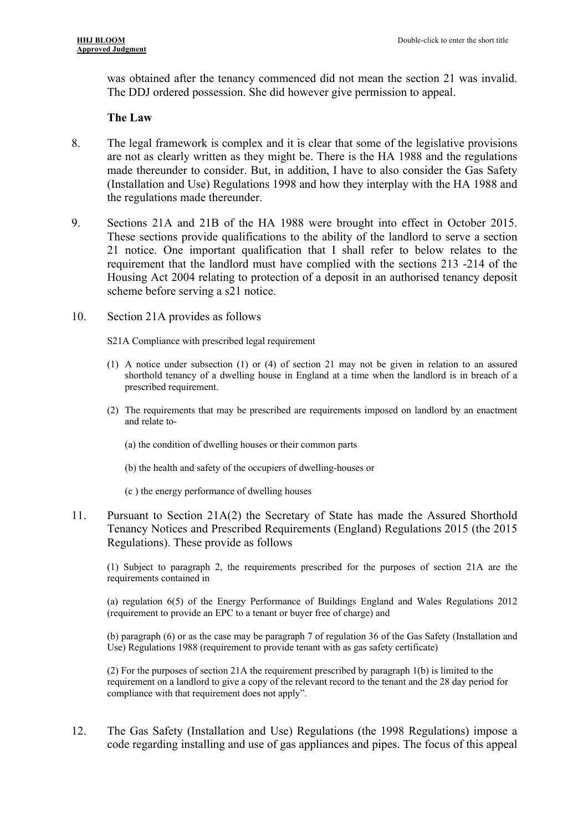was obtained after the tenancy commenced did not mean the section 21 was invalid. The DDJ ordered possession. She did however give permission to appeal.

### **The Law**

- 8. The legal framework is complex and it is clear that some of the legislative provisions are not as clearly written as they might be. There is the HA 1988 and the regulations made thereunder to consider. But, in addition, I have to also consider the Gas Safety (Installation and Use) Regulations 1998 and how they interplay with the HA 1988 and the regulations made thereunder.
- 9. Sections 21A and 21B of the HA 1988 were brought into effect in October 2015. These sections provide qualifications to the ability of the landlord to serve a section 21 notice. One important qualification that I shall refer to below relates to the requirement that the landlord must have complied with the sections 213 -214 of the Housing Act 2004 relating to protection of a deposit in an authorised tenancy deposit scheme before serving a s21 notice.
- 10. Section 21A provides as follows

S21A Compliance with prescribed legal requirement

- (1) A notice under subsection (1) or (4) of section 21 may not be given in relation to an assured shorthold tenancy of a dwelling house in England at a time when the landlord is in breach of a prescribed requirement.
- (2) The requirements that may be prescribed are requirements imposed on landlord by an enactment and relate to-
	- (a) the condition of dwelling houses or their common parts
	- (b) the health and safety of the occupiers of dwelling-houses or
	- (c ) the energy performance of dwelling houses
- 11. Pursuant to Section 21A(2) the Secretary of State has made the Assured Shorthold Tenancy Notices and Prescribed Requirements (England) Regulations 2015 (the 2015 Regulations). These provide as follows

(1) Subject to paragraph 2, the requirements prescribed for the purposes of section 21A are the requirements contained in

(a) regulation 6(5) of the Energy Performance of Buildings England and Wales Regulations 2012 (requirement to provide an EPC to a tenant or buyer free of charge) and

(b) paragraph (6) or as the case may be paragraph 7 of regulation 36 of the Gas Safety (Installation and Use) Regulations 1988 (requirement to provide tenant with as gas safety certificate)

(2) For the purposes of section 21A the requirement prescribed by paragraph 1(b) is limited to the requirement on a landlord to give a copy of the relevant record to the tenant and the 28 day period for compliance with that requirement does not apply".

12. The Gas Safety (Installation and Use) Regulations (the 1998 Regulations) impose a code regarding installing and use of gas appliances and pipes. The focus of this appeal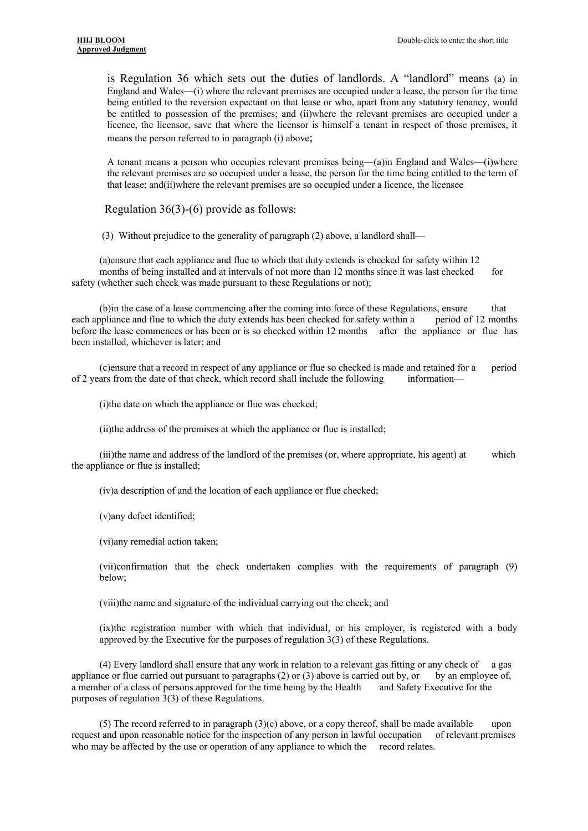is Regulation 36 which sets out the duties of landlords. A "landlord" means (a) in England and Wales—(i) where the relevant premises are occupied under a lease, the person for the time being entitled to the reversion expectant on that lease or who, apart from any statutory tenancy, would be entitled to possession of the premises; and (ii)where the relevant premises are occupied under a licence, the licensor, save that where the licensor is himself a tenant in respect of those premises, it means the person referred to in paragraph (i) above;

A tenant means a person who occupies relevant premises being—(a)in England and Wales—(i)where the relevant premises are so occupied under a lease, the person for the time being entitled to the term of that lease; and(ii)where the relevant premises are so occupied under a licence, the licensee

Regulation 36(3)-(6) provide as follows:

(3) Without prejudice to the generality of paragraph (2) above, a landlord shall—

(a)ensure that each appliance and flue to which that duty extends is checked for safety within 12 months of being installed and at intervals of not more than 12 months since it was last checked for safety (whether such check was made pursuant to these Regulations or not);

(b)in the case of a lease commencing after the coming into force of these Regulations, ensure that each appliance and flue to which the duty extends has been checked for safety within a period of 12 months before the lease commences or has been or is so checked within 12 months after the appliance or flue has been installed, whichever is later; and

(c)ensure that a record in respect of any appliance or flue so checked is made and retained for a period of 2 years from the date of that check, which record shall include the following information—

(i)the date on which the appliance or flue was checked;

(ii)the address of the premises at which the appliance or flue is installed;

(iii)the name and address of the landlord of the premises (or, where appropriate, his agent) at which the appliance or flue is installed;

(iv)a description of and the location of each appliance or flue checked;

(v)any defect identified;

(vi)any remedial action taken;

(vii)confirmation that the check undertaken complies with the requirements of paragraph (9) below;

(viii)the name and signature of the individual carrying out the check; and

(ix)the registration number with which that individual, or his employer, is registered with a body approved by the Executive for the purposes of regulation 3(3) of these Regulations.

(4) Every landlord shall ensure that any work in relation to a relevant gas fitting or any check of a gas appliance or flue carried out pursuant to paragraphs (2) or (3) above is carried out by, or by an employee of, a member of a class of persons approved for the time being by the Health and Safety Executive for the purposes of regulation 3(3) of these Regulations.

(5) The record referred to in paragraph  $(3)(c)$  above, or a copy thereof, shall be made available upon request and upon reasonable notice for the inspection of any person in lawful occupation of relevant premises who may be affected by the use or operation of any appliance to which the record relates.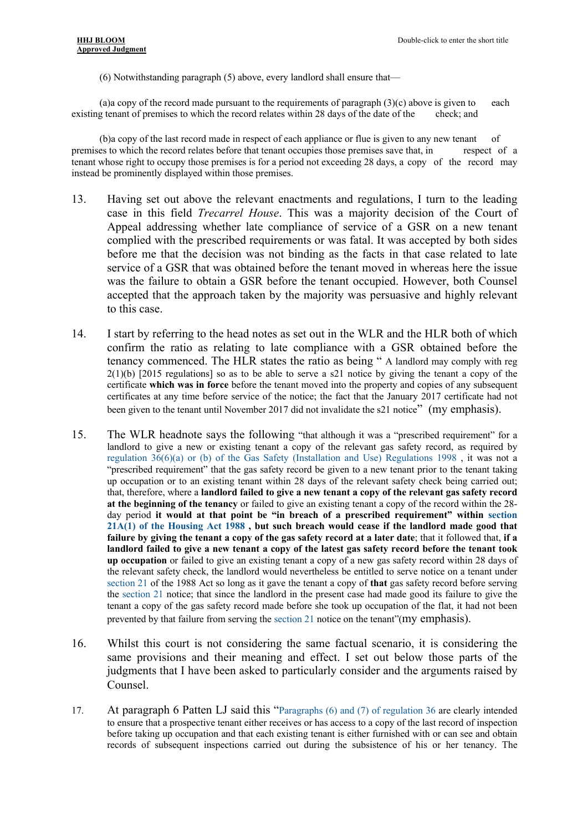(6) Notwithstanding paragraph (5) above, every landlord shall ensure that—

(a)a copy of the record made pursuant to the requirements of paragraph (3)(c) above is given to each existing tenant of premises to which the record relates within 28 days of the date of the check; and

(b)a copy of the last record made in respect of each appliance or flue is given to any new tenant of premises to which the record relates before that tenant occupies those premises save that, in respect of a tenant whose right to occupy those premises is for a period not exceeding 28 days, a copy of the record may instead be prominently displayed within those premises.

- 13. Having set out above the relevant enactments and regulations, I turn to the leading case in this field *Trecarrel House*. This was a majority decision of the Court of Appeal addressing whether late compliance of service of a GSR on a new tenant complied with the prescribed requirements or was fatal. It was accepted by both sides before me that the decision was not binding as the facts in that case related to late service of a GSR that was obtained before the tenant moved in whereas here the issue was the failure to obtain a GSR before the tenant occupied. However, both Counsel accepted that the approach taken by the majority was persuasive and highly relevant to this case.
- 14. I start by referring to the head notes as set out in the WLR and the HLR both of which confirm the ratio as relating to late compliance with a GSR obtained before the tenancy commenced. The HLR states the ratio as being " A landlord may comply with reg 2(1)(b) [2015 regulations] so as to be able to serve a s21 notice by giving the tenant a copy of the certificate **which was in force** before the tenant moved into the property and copies of any subsequent certificates at any time before service of the notice; the fact that the January 2017 certificate had not been given to the tenant until November 2017 did not invalidate the s21 notice" (my emphasis).
- 15. The WLR headnote says the following "that although it was a "prescribed requirement" for a landlord to give a new or existing tenant a copy of the relevant gas safety record, as required by regulation 36(6)(a) or (b) of the Gas Safety (Installation and Use) Regulations 1998 , it was not a "prescribed requirement" that the gas safety record be given to a new tenant prior to the tenant taking up occupation or to an existing tenant within 28 days of the relevant safety check being carried out; that, therefore, where a **landlord failed to give a new tenant a copy of the relevant gas safety record at the beginning of the tenancy** or failed to give an existing tenant a copy of the record within the 28 day period **it would at that point be "in breach of a prescribed requirement" within section 21A(1) of the Housing Act 1988 , but such breach would cease if the landlord made good that failure by giving the tenant a copy of the gas safety record at a later date**; that it followed that, **if a landlord failed to give a new tenant a copy of the latest gas safety record before the tenant took up occupation** or failed to give an existing tenant a copy of a new gas safety record within 28 days of the relevant safety check, the landlord would nevertheless be entitled to serve notice on a tenant under section 21 of the 1988 Act so long as it gave the tenant a copy of **that** gas safety record before serving the section 21 notice; that since the landlord in the present case had made good its failure to give the tenant a copy of the gas safety record made before she took up occupation of the flat, it had not been prevented by that failure from serving the section 21 notice on the tenant"(my emphasis).
- 16. Whilst this court is not considering the same factual scenario, it is considering the same provisions and their meaning and effect. I set out below those parts of the judgments that I have been asked to particularly consider and the arguments raised by Counsel.
- 17. At paragraph 6 Patten LJ said this "Paragraphs (6) and (7) of regulation 36 are clearly intended to ensure that a prospective tenant either receives or has access to a copy of the last record of inspection before taking up occupation and that each existing tenant is either furnished with or can see and obtain records of subsequent inspections carried out during the subsistence of his or her tenancy. The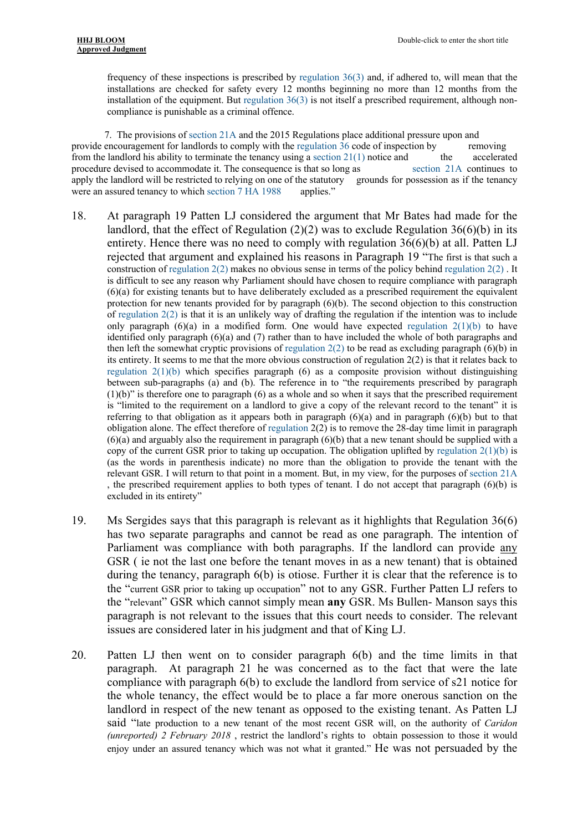frequency of these inspections is prescribed by regulation 36(3) and, if adhered to, will mean that the installations are checked for safety every 12 months beginning no more than 12 months from the installation of the equipment. But regulation 36(3) is not itself a prescribed requirement, although noncompliance is punishable as a criminal offence.

 7. The provisions of section 21A and the 2015 Regulations place additional pressure upon and provide encouragement for landlords to comply with the regulation 36 code of inspection by removing from the landlord his ability to terminate the tenancy using a section  $21(1)$  notice and the accelerated procedure devised to accommodate it. The consequence is that so long as section 21A continues to apply the landlord will be restricted to relying on one of the statutory grounds for possession as if the tenancy were an assured tenancy to which section 7 HA 1988 applies."

- 18. At paragraph 19 Patten LJ considered the argument that Mr Bates had made for the landlord, that the effect of Regulation  $(2)(2)$  was to exclude Regulation 36(6)(b) in its entirety. Hence there was no need to comply with regulation 36(6)(b) at all. Patten LJ rejected that argument and explained his reasons in Paragraph 19 "The first is that such a construction of regulation  $2(2)$  makes no obvious sense in terms of the policy behind regulation  $2(2)$ . It is difficult to see any reason why Parliament should have chosen to require compliance with paragraph (6)(a) for existing tenants but to have deliberately excluded as a prescribed requirement the equivalent protection for new tenants provided for by paragraph (6)(b). The second objection to this construction of regulation 2(2) is that it is an unlikely way of drafting the regulation if the intention was to include only paragraph  $(6)(a)$  in a modified form. One would have expected regulation  $2(1)(b)$  to have identified only paragraph (6)(a) and (7) rather than to have included the whole of both paragraphs and then left the somewhat cryptic provisions of regulation  $2(2)$  to be read as excluding paragraph (6)(b) in its entirety. It seems to me that the more obvious construction of regulation 2(2) is that it relates back to regulation  $2(1)(b)$  which specifies paragraph  $(6)$  as a composite provision without distinguishing between sub-paragraphs (a) and (b). The reference in to "the requirements prescribed by paragraph  $(1)(b)$ " is therefore one to paragraph  $(6)$  as a whole and so when it says that the prescribed requirement is "limited to the requirement on a landlord to give a copy of the relevant record to the tenant" it is referring to that obligation as it appears both in paragraph (6)(a) and in paragraph (6)(b) but to that obligation alone. The effect therefore of regulation 2(2) is to remove the 28-day time limit in paragraph  $(6)(a)$  and arguably also the requirement in paragraph  $(6)(b)$  that a new tenant should be supplied with a copy of the current GSR prior to taking up occupation. The obligation uplifted by regulation  $2(1)(b)$  is (as the words in parenthesis indicate) no more than the obligation to provide the tenant with the relevant GSR. I will return to that point in a moment. But, in my view, for the purposes of section 21A , the prescribed requirement applies to both types of tenant. I do not accept that paragraph (6)(b) is excluded in its entirety"
- 19. Ms Sergides says that this paragraph is relevant as it highlights that Regulation 36(6) has two separate paragraphs and cannot be read as one paragraph. The intention of Parliament was compliance with both paragraphs. If the landlord can provide any GSR ( ie not the last one before the tenant moves in as a new tenant) that is obtained during the tenancy, paragraph 6(b) is otiose. Further it is clear that the reference is to the "current GSR prior to taking up occupation" not to any GSR. Further Patten LJ refers to the "relevant" GSR which cannot simply mean **any** GSR. Ms Bullen- Manson says this paragraph is not relevant to the issues that this court needs to consider. The relevant issues are considered later in his judgment and that of King LJ.
- 20. Patten LJ then went on to consider paragraph 6(b) and the time limits in that paragraph. At paragraph 21 he was concerned as to the fact that were the late compliance with paragraph 6(b) to exclude the landlord from service of s21 notice for the whole tenancy, the effect would be to place a far more onerous sanction on the landlord in respect of the new tenant as opposed to the existing tenant. As Patten LJ said "late production to a new tenant of the most recent GSR will, on the authority of *Caridon (unreported) 2 February 2018* , restrict the landlord's rights to obtain possession to those it would enjoy under an assured tenancy which was not what it granted." He was not persuaded by the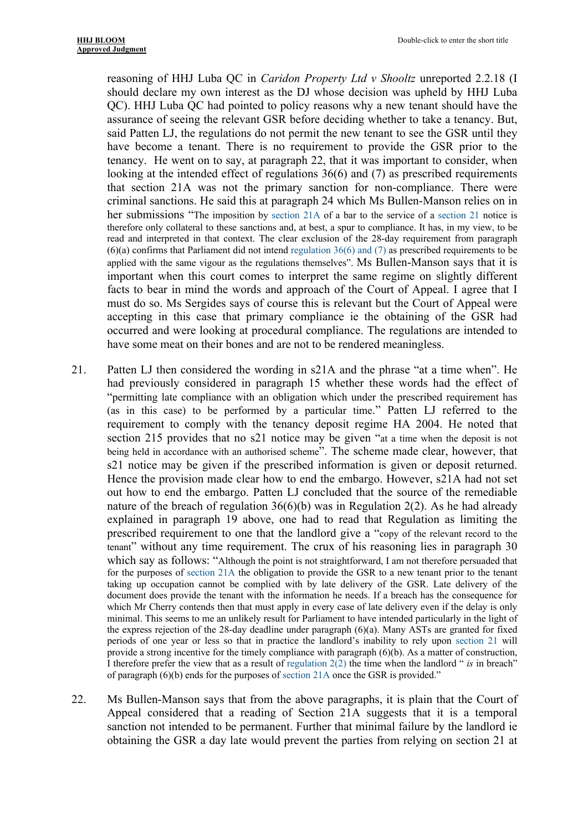reasoning of HHJ Luba QC in *Caridon Property Ltd v Shooltz* unreported 2.2.18 (I should declare my own interest as the DJ whose decision was upheld by HHJ Luba QC). HHJ Luba QC had pointed to policy reasons why a new tenant should have the assurance of seeing the relevant GSR before deciding whether to take a tenancy. But, said Patten LJ, the regulations do not permit the new tenant to see the GSR until they have become a tenant. There is no requirement to provide the GSR prior to the tenancy. He went on to say, at paragraph 22, that it was important to consider, when looking at the intended effect of regulations 36(6) and (7) as prescribed requirements that section 21A was not the primary sanction for non-compliance. There were criminal sanctions. He said this at paragraph 24 which Ms Bullen-Manson relies on in her submissions "The imposition by section 21A of a bar to the service of a section 21 notice is therefore only collateral to these sanctions and, at best, a spur to compliance. It has, in my view, to be read and interpreted in that context. The clear exclusion of the 28-day requirement from paragraph (6)(a) confirms that Parliament did not intend regulation 36(6) and (7) as prescribed requirements to be applied with the same vigour as the regulations themselves". Ms Bullen-Manson says that it is important when this court comes to interpret the same regime on slightly different facts to bear in mind the words and approach of the Court of Appeal. I agree that I must do so. Ms Sergides says of course this is relevant but the Court of Appeal were accepting in this case that primary compliance ie the obtaining of the GSR had occurred and were looking at procedural compliance. The regulations are intended to have some meat on their bones and are not to be rendered meaningless.

- 21. Patten LJ then considered the wording in s21A and the phrase "at a time when". He had previously considered in paragraph 15 whether these words had the effect of "permitting late compliance with an obligation which under the prescribed requirement has (as in this case) to be performed by a particular time." Patten LJ referred to the requirement to comply with the tenancy deposit regime HA 2004. He noted that section 215 provides that no s21 notice may be given "at a time when the deposit is not being held in accordance with an authorised scheme". The scheme made clear, however, that s21 notice may be given if the prescribed information is given or deposit returned. Hence the provision made clear how to end the embargo. However, s21A had not set out how to end the embargo. Patten LJ concluded that the source of the remediable nature of the breach of regulation  $36(6)(b)$  was in Regulation  $2(2)$ . As he had already explained in paragraph 19 above, one had to read that Regulation as limiting the prescribed requirement to one that the landlord give a "copy of the relevant record to the tenant" without any time requirement. The crux of his reasoning lies in paragraph 30 which say as follows: "Although the point is not straightforward, I am not therefore persuaded that for the purposes of section 21A the obligation to provide the GSR to a new tenant prior to the tenant taking up occupation cannot be complied with by late delivery of the GSR. Late delivery of the document does provide the tenant with the information he needs. If a breach has the consequence for which Mr Cherry contends then that must apply in every case of late delivery even if the delay is only minimal. This seems to me an unlikely result for Parliament to have intended particularly in the light of the express rejection of the 28-day deadline under paragraph (6)(a). Many ASTs are granted for fixed periods of one year or less so that in practice the landlord's inability to rely upon section 21 will provide a strong incentive for the timely compliance with paragraph  $(6)(b)$ . As a matter of construction, I therefore prefer the view that as a result of regulation 2(2) the time when the landlord " *is* in breach" of paragraph (6)(b) ends for the purposes of section 21A once the GSR is provided."
- 22. Ms Bullen-Manson says that from the above paragraphs, it is plain that the Court of Appeal considered that a reading of Section 21A suggests that it is a temporal sanction not intended to be permanent. Further that minimal failure by the landlord ie obtaining the GSR a day late would prevent the parties from relying on section 21 at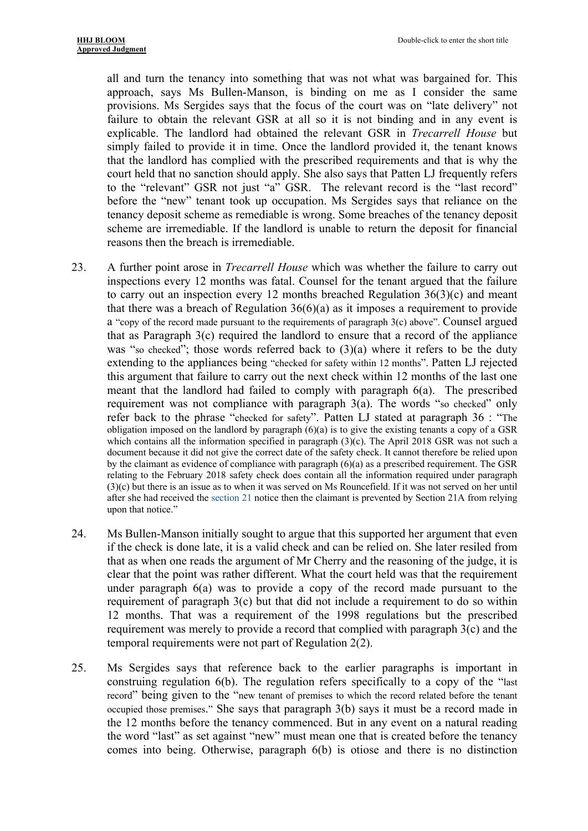all and turn the tenancy into something that was not what was bargained for. This approach, says Ms Bullen-Manson, is binding on me as I consider the same provisions. Ms Sergides says that the focus of the court was on "late delivery" not failure to obtain the relevant GSR at all so it is not binding and in any event is explicable. The landlord had obtained the relevant GSR in *Trecarrell House* but simply failed to provide it in time. Once the landlord provided it, the tenant knows that the landlord has complied with the prescribed requirements and that is why the court held that no sanction should apply. She also says that Patten LJ frequently refers to the "relevant" GSR not just "a" GSR. The relevant record is the "last record" before the "new" tenant took up occupation. Ms Sergides says that reliance on the tenancy deposit scheme as remediable is wrong. Some breaches of the tenancy deposit scheme are irremediable. If the landlord is unable to return the deposit for financial reasons then the breach is irremediable.

- 23. A further point arose in *Trecarrell House* which was whether the failure to carry out inspections every 12 months was fatal. Counsel for the tenant argued that the failure to carry out an inspection every 12 months breached Regulation  $36(3)(c)$  and meant that there was a breach of Regulation  $36(6)(a)$  as it imposes a requirement to provide a "copy of the record made pursuant to the requirements of paragraph 3(c) above". Counsel argued that as Paragraph 3(c) required the landlord to ensure that a record of the appliance was "so checked"; those words referred back to  $(3)(a)$  where it refers to be the duty extending to the appliances being "checked for safety within 12 months". Patten LJ rejected this argument that failure to carry out the next check within 12 months of the last one meant that the landlord had failed to comply with paragraph 6(a). The prescribed requirement was not compliance with paragraph 3(a). The words "so checked" only refer back to the phrase "checked for safety". Patten LJ stated at paragraph 36 : "The obligation imposed on the landlord by paragraph  $(6)(a)$  is to give the existing tenants a copy of a GSR which contains all the information specified in paragraph (3)(c). The April 2018 GSR was not such a document because it did not give the correct date of the safety check. It cannot therefore be relied upon by the claimant as evidence of compliance with paragraph  $(6)(a)$  as a prescribed requirement. The GSR relating to the February 2018 safety check does contain all the information required under paragraph (3)(c) but there is an issue as to when it was served on Ms Rouncefield. If it was not served on her until after she had received the section 21 notice then the claimant is prevented by Section 21A from relying upon that notice."
- 24. Ms Bullen-Manson initially sought to argue that this supported her argument that even if the check is done late, it is a valid check and can be relied on. She later resiled from that as when one reads the argument of Mr Cherry and the reasoning of the judge, it is clear that the point was rather different. What the court held was that the requirement under paragraph 6(a) was to provide a copy of the record made pursuant to the requirement of paragraph 3(c) but that did not include a requirement to do so within 12 months. That was a requirement of the 1998 regulations but the prescribed requirement was merely to provide a record that complied with paragraph 3(c) and the temporal requirements were not part of Regulation 2(2).
- 25. Ms Sergides says that reference back to the earlier paragraphs is important in construing regulation 6(b). The regulation refers specifically to a copy of the "last record" being given to the "new tenant of premises to which the record related before the tenant occupied those premises." She says that paragraph 3(b) says it must be a record made in the 12 months before the tenancy commenced. But in any event on a natural reading the word "last" as set against "new" must mean one that is created before the tenancy comes into being. Otherwise, paragraph 6(b) is otiose and there is no distinction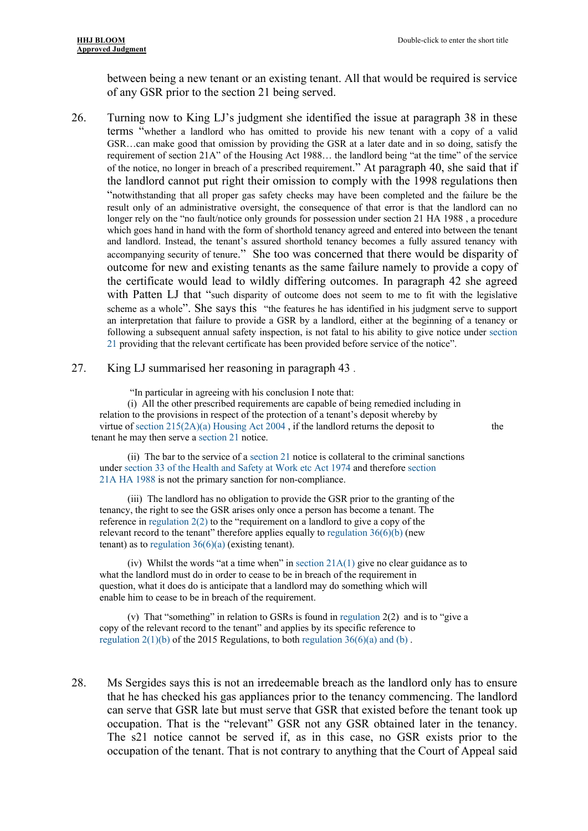between being a new tenant or an existing tenant. All that would be required is service of any GSR prior to the section 21 being served.

26. Turning now to King LJ's judgment she identified the issue at paragraph 38 in these terms "whether a landlord who has omitted to provide his new tenant with a copy of a valid GSR…can make good that omission by providing the GSR at a later date and in so doing, satisfy the requirement of section 21A" of the Housing Act 1988… the landlord being "at the time" of the service of the notice, no longer in breach of a prescribed requirement." At paragraph 40, she said that if the landlord cannot put right their omission to comply with the 1998 regulations then "notwithstanding that all proper gas safety checks may have been completed and the failure be the result only of an administrative oversight, the consequence of that error is that the landlord can no longer rely on the "no fault/notice only grounds for possession under section 21 HA 1988, a procedure which goes hand in hand with the form of shorthold tenancy agreed and entered into between the tenant and landlord. Instead, the tenant's assured shorthold tenancy becomes a fully assured tenancy with accompanying security of tenure." She too was concerned that there would be disparity of outcome for new and existing tenants as the same failure namely to provide a copy of the certificate would lead to wildly differing outcomes. In paragraph 42 she agreed with Patten LJ that "such disparity of outcome does not seem to me to fit with the legislative scheme as a whole". She says this "the features he has identified in his judgment serve to support an interpretation that failure to provide a GSR by a landlord, either at the beginning of a tenancy or following a subsequent annual safety inspection, is not fatal to his ability to give notice under section 21 providing that the relevant certificate has been provided before service of the notice".

#### 27. King LJ summarised her reasoning in paragraph 43 .

"In particular in agreeing with his conclusion I note that:

(i) All the other prescribed requirements are capable of being remedied including in relation to the provisions in respect of the protection of a tenant's deposit whereby by virtue of section  $215(2A)(a)$  Housing Act  $2004$ , if the landlord returns the deposit to the tenant he may then serve a section 21 notice.

(ii) The bar to the service of a section 21 notice is collateral to the criminal sanctions under section 33 of the Health and Safety at Work etc Act 1974 and therefore section 21A HA 1988 is not the primary sanction for non-compliance.

(iii) The landlord has no obligation to provide the GSR prior to the granting of the tenancy, the right to see the GSR arises only once a person has become a tenant. The reference in regulation 2(2) to the "requirement on a landlord to give a copy of the relevant record to the tenant" therefore applies equally to regulation  $36(6)(b)$  (new tenant) as to regulation  $36(6)(a)$  (existing tenant).

(iv) Whilst the words "at a time when" in section 21A(1) give no clear guidance as to what the landlord must do in order to cease to be in breach of the requirement in question, what it does do is anticipate that a landlord may do something which will enable him to cease to be in breach of the requirement.

(v) That "something" in relation to GSRs is found in regulation 2(2) and is to "give a copy of the relevant record to the tenant" and applies by its specific reference to regulation  $2(1)(b)$  of the 2015 Regulations, to both regulation  $36(6)(a)$  and (b).

28. Ms Sergides says this is not an irredeemable breach as the landlord only has to ensure that he has checked his gas appliances prior to the tenancy commencing. The landlord can serve that GSR late but must serve that GSR that existed before the tenant took up occupation. That is the "relevant" GSR not any GSR obtained later in the tenancy. The s21 notice cannot be served if, as in this case, no GSR exists prior to the occupation of the tenant. That is not contrary to anything that the Court of Appeal said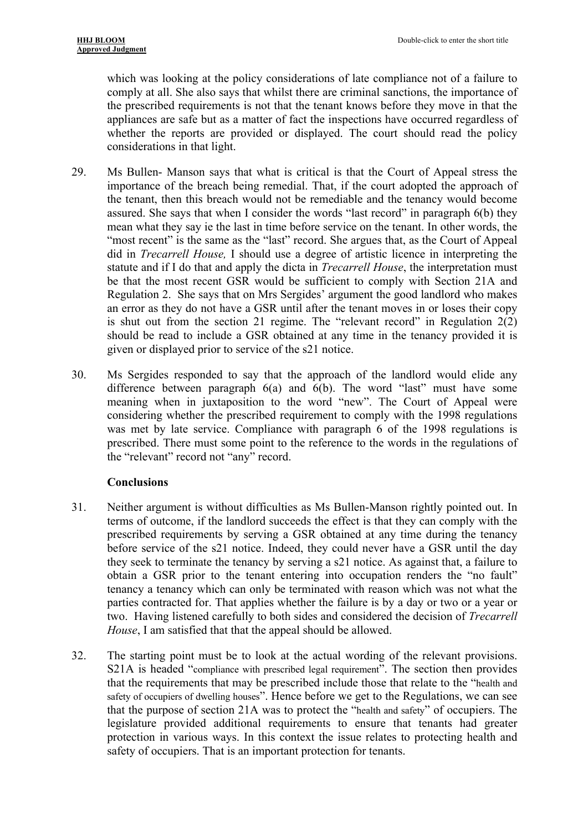which was looking at the policy considerations of late compliance not of a failure to comply at all. She also says that whilst there are criminal sanctions, the importance of the prescribed requirements is not that the tenant knows before they move in that the appliances are safe but as a matter of fact the inspections have occurred regardless of whether the reports are provided or displayed. The court should read the policy considerations in that light.

- 29. Ms Bullen- Manson says that what is critical is that the Court of Appeal stress the importance of the breach being remedial. That, if the court adopted the approach of the tenant, then this breach would not be remediable and the tenancy would become assured. She says that when I consider the words "last record" in paragraph 6(b) they mean what they say ie the last in time before service on the tenant. In other words, the "most recent" is the same as the "last" record. She argues that, as the Court of Appeal did in *Trecarrell House,* I should use a degree of artistic licence in interpreting the statute and if I do that and apply the dicta in *Trecarrell House*, the interpretation must be that the most recent GSR would be sufficient to comply with Section 21A and Regulation 2. She says that on Mrs Sergides' argument the good landlord who makes an error as they do not have a GSR until after the tenant moves in or loses their copy is shut out from the section 21 regime. The "relevant record" in Regulation 2(2) should be read to include a GSR obtained at any time in the tenancy provided it is given or displayed prior to service of the s21 notice.
- 30. Ms Sergides responded to say that the approach of the landlord would elide any difference between paragraph 6(a) and 6(b). The word "last" must have some meaning when in juxtaposition to the word "new". The Court of Appeal were considering whether the prescribed requirement to comply with the 1998 regulations was met by late service. Compliance with paragraph 6 of the 1998 regulations is prescribed. There must some point to the reference to the words in the regulations of the "relevant" record not "any" record.

### **Conclusions**

- 31. Neither argument is without difficulties as Ms Bullen-Manson rightly pointed out. In terms of outcome, if the landlord succeeds the effect is that they can comply with the prescribed requirements by serving a GSR obtained at any time during the tenancy before service of the s21 notice. Indeed, they could never have a GSR until the day they seek to terminate the tenancy by serving a s21 notice. As against that, a failure to obtain a GSR prior to the tenant entering into occupation renders the "no fault" tenancy a tenancy which can only be terminated with reason which was not what the parties contracted for. That applies whether the failure is by a day or two or a year or two. Having listened carefully to both sides and considered the decision of *Trecarrell House*, I am satisfied that that the appeal should be allowed.
- 32. The starting point must be to look at the actual wording of the relevant provisions. S21A is headed "compliance with prescribed legal requirement". The section then provides that the requirements that may be prescribed include those that relate to the "health and safety of occupiers of dwelling houses". Hence before we get to the Regulations, we can see that the purpose of section 21A was to protect the "health and safety" of occupiers. The legislature provided additional requirements to ensure that tenants had greater protection in various ways. In this context the issue relates to protecting health and safety of occupiers. That is an important protection for tenants.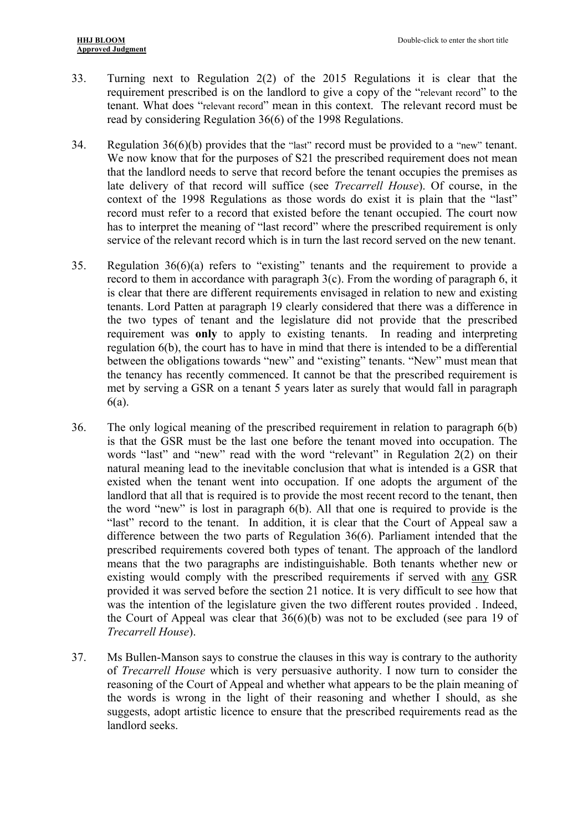- 33. Turning next to Regulation 2(2) of the 2015 Regulations it is clear that the requirement prescribed is on the landlord to give a copy of the "relevant record" to the tenant. What does "relevant record" mean in this context. The relevant record must be read by considering Regulation 36(6) of the 1998 Regulations.
- 34. Regulation 36(6)(b) provides that the "last" record must be provided to a "new" tenant. We now know that for the purposes of S21 the prescribed requirement does not mean that the landlord needs to serve that record before the tenant occupies the premises as late delivery of that record will suffice (see *Trecarrell House*). Of course, in the context of the 1998 Regulations as those words do exist it is plain that the "last" record must refer to a record that existed before the tenant occupied. The court now has to interpret the meaning of "last record" where the prescribed requirement is only service of the relevant record which is in turn the last record served on the new tenant.
- 35. Regulation 36(6)(a) refers to "existing" tenants and the requirement to provide a record to them in accordance with paragraph 3(c). From the wording of paragraph 6, it is clear that there are different requirements envisaged in relation to new and existing tenants. Lord Patten at paragraph 19 clearly considered that there was a difference in the two types of tenant and the legislature did not provide that the prescribed requirement was **only** to apply to existing tenants. In reading and interpreting regulation 6(b), the court has to have in mind that there is intended to be a differential between the obligations towards "new" and "existing" tenants. "New" must mean that the tenancy has recently commenced. It cannot be that the prescribed requirement is met by serving a GSR on a tenant 5 years later as surely that would fall in paragraph 6(a).
- 36. The only logical meaning of the prescribed requirement in relation to paragraph 6(b) is that the GSR must be the last one before the tenant moved into occupation. The words "last" and "new" read with the word "relevant" in Regulation 2(2) on their natural meaning lead to the inevitable conclusion that what is intended is a GSR that existed when the tenant went into occupation. If one adopts the argument of the landlord that all that is required is to provide the most recent record to the tenant, then the word "new" is lost in paragraph 6(b). All that one is required to provide is the "last" record to the tenant. In addition, it is clear that the Court of Appeal saw a difference between the two parts of Regulation 36(6). Parliament intended that the prescribed requirements covered both types of tenant. The approach of the landlord means that the two paragraphs are indistinguishable. Both tenants whether new or existing would comply with the prescribed requirements if served with any GSR provided it was served before the section 21 notice. It is very difficult to see how that was the intention of the legislature given the two different routes provided . Indeed, the Court of Appeal was clear that  $36(6)(b)$  was not to be excluded (see para 19 of *Trecarrell House*).
- 37. Ms Bullen-Manson says to construe the clauses in this way is contrary to the authority of *Trecarrell House* which is very persuasive authority. I now turn to consider the reasoning of the Court of Appeal and whether what appears to be the plain meaning of the words is wrong in the light of their reasoning and whether I should, as she suggests, adopt artistic licence to ensure that the prescribed requirements read as the landlord seeks.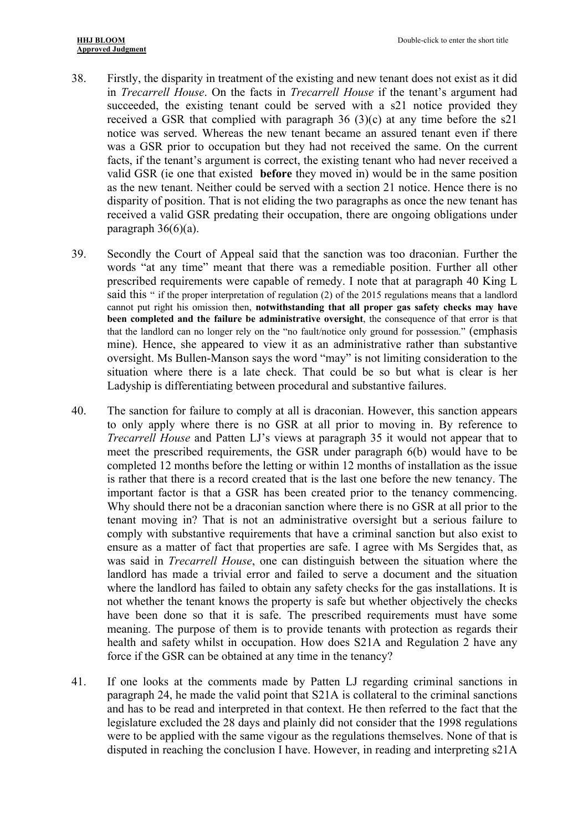- 38. Firstly, the disparity in treatment of the existing and new tenant does not exist as it did in *Trecarrell House*. On the facts in *Trecarrell House* if the tenant's argument had succeeded, the existing tenant could be served with a s21 notice provided they received a GSR that complied with paragraph 36 (3)(c) at any time before the s21 notice was served. Whereas the new tenant became an assured tenant even if there was a GSR prior to occupation but they had not received the same. On the current facts, if the tenant's argument is correct, the existing tenant who had never received a valid GSR (ie one that existed **before** they moved in) would be in the same position as the new tenant. Neither could be served with a section 21 notice. Hence there is no disparity of position. That is not eliding the two paragraphs as once the new tenant has received a valid GSR predating their occupation, there are ongoing obligations under paragraph  $36(6)(a)$ .
- 39. Secondly the Court of Appeal said that the sanction was too draconian. Further the words "at any time" meant that there was a remediable position. Further all other prescribed requirements were capable of remedy. I note that at paragraph 40 King L said this " if the proper interpretation of regulation (2) of the 2015 regulations means that a landlord cannot put right his omission then, **notwithstanding that all proper gas safety checks may have been completed and the failure be administrative oversight**, the consequence of that error is that that the landlord can no longer rely on the "no fault/notice only ground for possession." (emphasis mine). Hence, she appeared to view it as an administrative rather than substantive oversight. Ms Bullen-Manson says the word "may" is not limiting consideration to the situation where there is a late check. That could be so but what is clear is her Ladyship is differentiating between procedural and substantive failures.
- 40. The sanction for failure to comply at all is draconian. However, this sanction appears to only apply where there is no GSR at all prior to moving in. By reference to *Trecarrell House* and Patten LJ's views at paragraph 35 it would not appear that to meet the prescribed requirements, the GSR under paragraph 6(b) would have to be completed 12 months before the letting or within 12 months of installation as the issue is rather that there is a record created that is the last one before the new tenancy. The important factor is that a GSR has been created prior to the tenancy commencing. Why should there not be a draconian sanction where there is no GSR at all prior to the tenant moving in? That is not an administrative oversight but a serious failure to comply with substantive requirements that have a criminal sanction but also exist to ensure as a matter of fact that properties are safe. I agree with Ms Sergides that, as was said in *Trecarrell House*, one can distinguish between the situation where the landlord has made a trivial error and failed to serve a document and the situation where the landlord has failed to obtain any safety checks for the gas installations. It is not whether the tenant knows the property is safe but whether objectively the checks have been done so that it is safe. The prescribed requirements must have some meaning. The purpose of them is to provide tenants with protection as regards their health and safety whilst in occupation. How does S21A and Regulation 2 have any force if the GSR can be obtained at any time in the tenancy?
- 41. If one looks at the comments made by Patten LJ regarding criminal sanctions in paragraph 24, he made the valid point that S21A is collateral to the criminal sanctions and has to be read and interpreted in that context. He then referred to the fact that the legislature excluded the 28 days and plainly did not consider that the 1998 regulations were to be applied with the same vigour as the regulations themselves. None of that is disputed in reaching the conclusion I have. However, in reading and interpreting s21A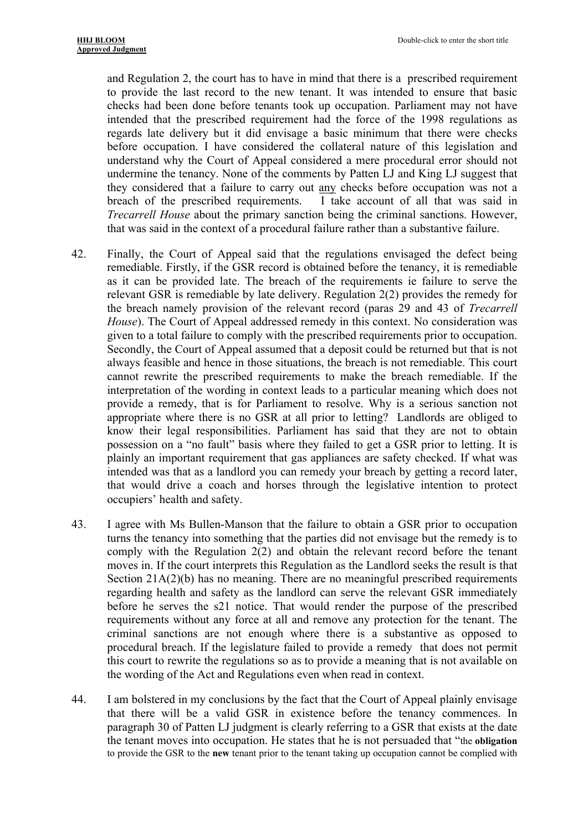and Regulation 2, the court has to have in mind that there is a prescribed requirement to provide the last record to the new tenant. It was intended to ensure that basic checks had been done before tenants took up occupation. Parliament may not have intended that the prescribed requirement had the force of the 1998 regulations as regards late delivery but it did envisage a basic minimum that there were checks before occupation. I have considered the collateral nature of this legislation and understand why the Court of Appeal considered a mere procedural error should not undermine the tenancy. None of the comments by Patten LJ and King LJ suggest that they considered that a failure to carry out any checks before occupation was not a breach of the prescribed requirements. I take account of all that was said in *Trecarrell House* about the primary sanction being the criminal sanctions. However, that was said in the context of a procedural failure rather than a substantive failure.

- 42. Finally, the Court of Appeal said that the regulations envisaged the defect being remediable. Firstly, if the GSR record is obtained before the tenancy, it is remediable as it can be provided late. The breach of the requirements ie failure to serve the relevant GSR is remediable by late delivery. Regulation 2(2) provides the remedy for the breach namely provision of the relevant record (paras 29 and 43 of *Trecarrell House*). The Court of Appeal addressed remedy in this context. No consideration was given to a total failure to comply with the prescribed requirements prior to occupation. Secondly, the Court of Appeal assumed that a deposit could be returned but that is not always feasible and hence in those situations, the breach is not remediable. This court cannot rewrite the prescribed requirements to make the breach remediable. If the interpretation of the wording in context leads to a particular meaning which does not provide a remedy, that is for Parliament to resolve. Why is a serious sanction not appropriate where there is no GSR at all prior to letting? Landlords are obliged to know their legal responsibilities. Parliament has said that they are not to obtain possession on a "no fault" basis where they failed to get a GSR prior to letting. It is plainly an important requirement that gas appliances are safety checked. If what was intended was that as a landlord you can remedy your breach by getting a record later, that would drive a coach and horses through the legislative intention to protect occupiers' health and safety.
- 43. I agree with Ms Bullen-Manson that the failure to obtain a GSR prior to occupation turns the tenancy into something that the parties did not envisage but the remedy is to comply with the Regulation 2(2) and obtain the relevant record before the tenant moves in. If the court interprets this Regulation as the Landlord seeks the result is that Section 21A(2)(b) has no meaning. There are no meaningful prescribed requirements regarding health and safety as the landlord can serve the relevant GSR immediately before he serves the s21 notice. That would render the purpose of the prescribed requirements without any force at all and remove any protection for the tenant. The criminal sanctions are not enough where there is a substantive as opposed to procedural breach. If the legislature failed to provide a remedy that does not permit this court to rewrite the regulations so as to provide a meaning that is not available on the wording of the Act and Regulations even when read in context.
- 44. I am bolstered in my conclusions by the fact that the Court of Appeal plainly envisage that there will be a valid GSR in existence before the tenancy commences. In paragraph 30 of Patten LJ judgment is clearly referring to a GSR that exists at the date the tenant moves into occupation. He states that he is not persuaded that "the **obligation** to provide the GSR to the **new** tenant prior to the tenant taking up occupation cannot be complied with